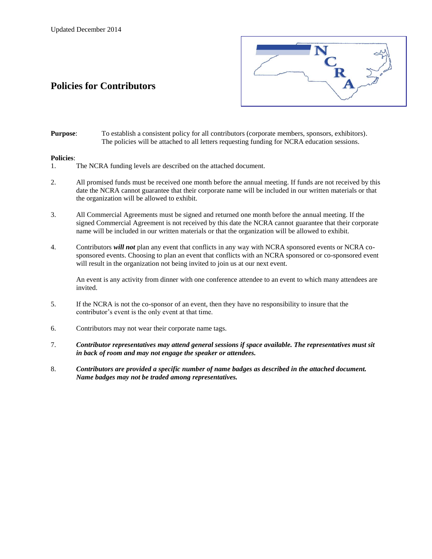# **Policies for Contributors**



**Purpose**: To establish a consistent policy for all contributors (corporate members, sponsors, exhibitors). The policies will be attached to all letters requesting funding for NCRA education sessions.

#### **Policies**:

- 1. The NCRA funding levels are described on the attached document.
- 2. All promised funds must be received one month before the annual meeting. If funds are not received by this date the NCRA cannot guarantee that their corporate name will be included in our written materials or that the organization will be allowed to exhibit.
- 3. All Commercial Agreements must be signed and returned one month before the annual meeting. If the signed Commercial Agreement is not received by this date the NCRA cannot guarantee that their corporate name will be included in our written materials or that the organization will be allowed to exhibit.
- 4. Contributors *will not* plan any event that conflicts in any way with NCRA sponsored events or NCRA cosponsored events. Choosing to plan an event that conflicts with an NCRA sponsored or co-sponsored event will result in the organization not being invited to join us at our next event.

An event is any activity from dinner with one conference attendee to an event to which many attendees are invited.

- 5. If the NCRA is not the co-sponsor of an event, then they have no responsibility to insure that the contributor's event is the only event at that time.
- 6. Contributors may not wear their corporate name tags.
- 7. *Contributor representatives may attend general sessions if space available. The representatives must sit in back of room and may not engage the speaker or attendees.*
- 8. *Contributors are provided a specific number of name badges as described in the attached document. Name badges may not be traded among representatives.*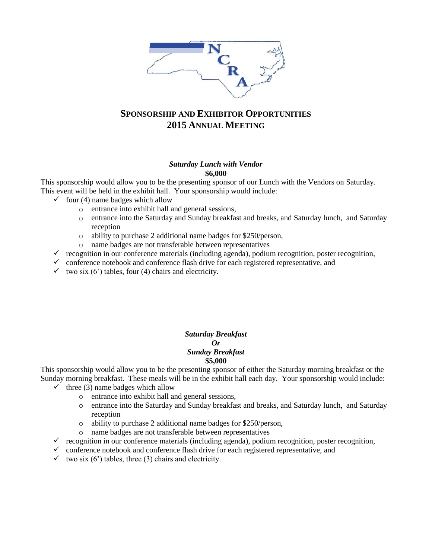

# **SPONSORSHIP AND EXHIBITOR OPPORTUNITIES 2015 ANNUAL MEETING**

#### *Saturday Lunch with Vendor* **\$6,000**

This sponsorship would allow you to be the presenting sponsor of our Lunch with the Vendors on Saturday. This event will be held in the exhibit hall. Your sponsorship would include:

- $\checkmark$  four (4) name badges which allow
	- o entrance into exhibit hall and general sessions,
	- o entrance into the Saturday and Sunday breakfast and breaks, and Saturday lunch, and Saturday reception
	- o ability to purchase 2 additional name badges for \$250/person,
	- o name badges are not transferable between representatives
- $\checkmark$  recognition in our conference materials (including agenda), podium recognition, poster recognition,
- $\checkmark$  conference notebook and conference flash drive for each registered representative, and
- $\checkmark$  two six (6') tables, four (4) chairs and electricity.

#### *Saturday Breakfast Or Sunday Breakfast*  **\$5,000**

This sponsorship would allow you to be the presenting sponsor of either the Saturday morning breakfast or the Sunday morning breakfast. These meals will be in the exhibit hall each day. Your sponsorship would include:

- $\checkmark$  three (3) name badges which allow
	- o entrance into exhibit hall and general sessions,
	- o entrance into the Saturday and Sunday breakfast and breaks, and Saturday lunch, and Saturday reception
	- o ability to purchase 2 additional name badges for \$250/person,
	- o name badges are not transferable between representatives
- $\checkmark$  recognition in our conference materials (including agenda), podium recognition, poster recognition,
- $\checkmark$  conference notebook and conference flash drive for each registered representative, and
- $\checkmark$  two six (6') tables, three (3) chairs and electricity.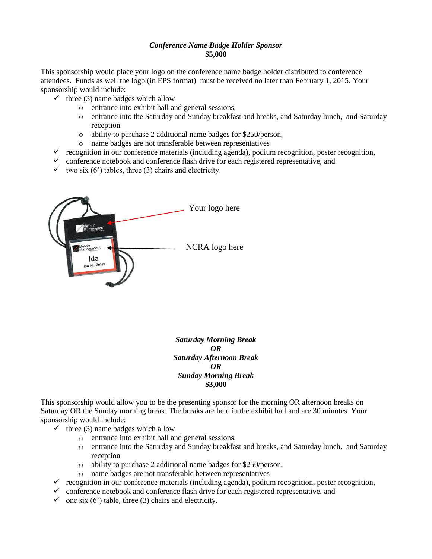### *Conference Name Badge Holder Sponsor* **\$5,000**

This sponsorship would place your logo on the conference name badge holder distributed to conference attendees. Funds as well the logo (in EPS format) must be received no later than February 1, 2015. Your sponsorship would include:

- $\checkmark$  three (3) name badges which allow
	- o entrance into exhibit hall and general sessions,
	- o entrance into the Saturday and Sunday breakfast and breaks, and Saturday lunch, and Saturday reception
	- o ability to purchase 2 additional name badges for \$250/person,
	- o name badges are not transferable between representatives
- $\checkmark$  recognition in our conference materials (including agenda), podium recognition, poster recognition,
- $\checkmark$  conference notebook and conference flash drive for each registered representative, and
- $\checkmark$  two six (6') tables, three (3) chairs and electricity.



*Saturday Morning Break OR Saturday Afternoon Break OR Sunday Morning Break* **\$3,000**

This sponsorship would allow you to be the presenting sponsor for the morning OR afternoon breaks on Saturday OR the Sunday morning break. The breaks are held in the exhibit hall and are 30 minutes. Your sponsorship would include:

- $\checkmark$  three (3) name badges which allow
	- o entrance into exhibit hall and general sessions,
	- o entrance into the Saturday and Sunday breakfast and breaks, and Saturday lunch, and Saturday reception
	- o ability to purchase 2 additional name badges for \$250/person,
	- o name badges are not transferable between representatives
- $\checkmark$  recognition in our conference materials (including agenda), podium recognition, poster recognition,
- $\checkmark$  conference notebook and conference flash drive for each registered representative, and
- $\checkmark$  one six (6') table, three (3) chairs and electricity.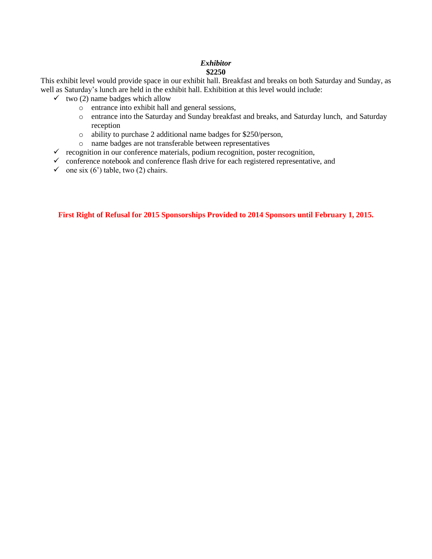### *Exhibitor*  **\$2250**

This exhibit level would provide space in our exhibit hall. Breakfast and breaks on both Saturday and Sunday, as well as Saturday's lunch are held in the exhibit hall. Exhibition at this level would include:

- $\checkmark$  two (2) name badges which allow
	- o entrance into exhibit hall and general sessions,
	- o entrance into the Saturday and Sunday breakfast and breaks, and Saturday lunch, and Saturday reception
	- o ability to purchase 2 additional name badges for \$250/person,
	- o name badges are not transferable between representatives
- $\checkmark$  recognition in our conference materials, podium recognition, poster recognition,
- $\checkmark$  conference notebook and conference flash drive for each registered representative, and
- $\checkmark$  one six (6') table, two (2) chairs.

**First Right of Refusal for 2015 Sponsorships Provided to 2014 Sponsors until February 1, 2015.**